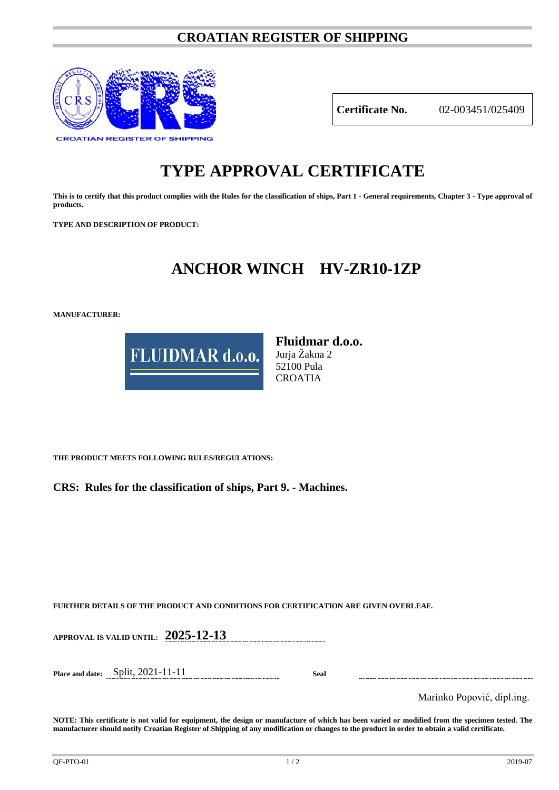### **CROATIAN REGISTER OF SHIPPING**



**Certificate No.** 02-003451/025409

# **TYPE APPROVAL CERTIFICATE**

**This is to certify that this product complies with the Rules for the classification of ships, Part 1 - General requirements, Chapter 3 - Type approval of products.**

**TYPE AND DESCRIPTION OF PRODUCT:** 

## **ANCHOR WINCH HV-ZR10-1ZP**

**MANUFACTURER:**



**Fluidmar d.o.o.** Jurja Žakna 2 52100 Pula CROATIA

**THE PRODUCT MEETS FOLLOWING RULES/REGULATIONS:**

**CRS: Rules for the classification of ships, Part 9. - Machines.**

**FURTHER DETAILS OF THE PRODUCT AND CONDITIONS FOR CERTIFICATION ARE GIVEN OVERLEAF.**

**APPROVAL IS VALID UNTIL: 2025-12-13**

**Place and date:** Split, 2021-11-11 **Seal**

Marinko Popović, dipl.ing.

**NOTE: This certificate is not valid for equipment, the design or manufacture of which has been varied or modified from the specimen tested. The manufacturer should notify Croatian Register of Shipping of any modification or changes to the product in order to obtain a valid certificate.**